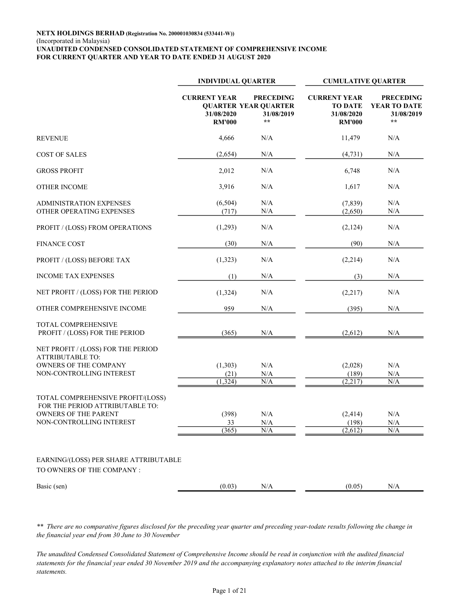|                                                                                                                                 | <b>INDIVIDUAL QUARTER</b>                          |                                                                        | <b>CUMULATIVE QUARTER</b>                                            |                                                                |  |  |
|---------------------------------------------------------------------------------------------------------------------------------|----------------------------------------------------|------------------------------------------------------------------------|----------------------------------------------------------------------|----------------------------------------------------------------|--|--|
|                                                                                                                                 | <b>CURRENT YEAR</b><br>31/08/2020<br><b>RM'000</b> | <b>PRECEDING</b><br><b>QUARTER YEAR QUARTER</b><br>31/08/2019<br>$* *$ | <b>CURRENT YEAR</b><br><b>TO DATE</b><br>31/08/2020<br><b>RM'000</b> | <b>PRECEDING</b><br>YEAR TO DATE<br>31/08/2019<br>$\star\star$ |  |  |
| <b>REVENUE</b>                                                                                                                  | 4,666                                              | N/A                                                                    | 11,479                                                               | N/A                                                            |  |  |
| <b>COST OF SALES</b>                                                                                                            | (2,654)                                            | N/A                                                                    | (4,731)                                                              | N/A                                                            |  |  |
| <b>GROSS PROFIT</b>                                                                                                             | 2,012                                              | $\rm N/A$                                                              | 6,748                                                                | N/A                                                            |  |  |
| <b>OTHER INCOME</b>                                                                                                             | 3,916                                              | $\rm N/A$                                                              | 1,617                                                                | N/A                                                            |  |  |
| <b>ADMINISTRATION EXPENSES</b><br>OTHER OPERATING EXPENSES                                                                      | (6,504)<br>(717)                                   | N/A<br>N/A                                                             | (7,839)<br>(2,650)                                                   | N/A<br>N/A                                                     |  |  |
| PROFIT / (LOSS) FROM OPERATIONS                                                                                                 | (1,293)                                            | N/A                                                                    | (2,124)                                                              | N/A                                                            |  |  |
| <b>FINANCE COST</b>                                                                                                             | (30)                                               | N/A                                                                    | (90)                                                                 | N/A                                                            |  |  |
| PROFIT / (LOSS) BEFORE TAX                                                                                                      | (1,323)                                            | N/A                                                                    | (2,214)                                                              | N/A                                                            |  |  |
| <b>INCOME TAX EXPENSES</b>                                                                                                      | (1)                                                | N/A                                                                    | (3)                                                                  | N/A                                                            |  |  |
| NET PROFIT / (LOSS) FOR THE PERIOD                                                                                              | (1, 324)                                           | N/A                                                                    | (2,217)                                                              | N/A                                                            |  |  |
| OTHER COMPREHENSIVE INCOME                                                                                                      | 959                                                | N/A                                                                    | (395)                                                                | N/A                                                            |  |  |
| TOTAL COMPREHENSIVE<br>PROFIT / (LOSS) FOR THE PERIOD                                                                           | (365)                                              | N/A                                                                    | (2,612)                                                              | N/A                                                            |  |  |
| NET PROFIT / (LOSS) FOR THE PERIOD<br><b>ATTRIBUTABLE TO:</b><br>OWNERS OF THE COMPANY<br>NON-CONTROLLING INTEREST              | (1,303)<br>(21)                                    | $\rm N/A$<br>N/A                                                       | (2,028)<br>(189)                                                     | N/A<br>$\rm N/A$                                               |  |  |
|                                                                                                                                 | (1, 324)                                           | N/A                                                                    | (2,217)                                                              | N/A                                                            |  |  |
| TOTAL COMPREHENSIVE PROFIT/(LOSS)<br>FOR THE PERIOD ATTRIBUTABLE TO:<br><b>OWNERS OF THE PARENT</b><br>NON-CONTROLLING INTEREST | (398)<br>33                                        | N/A<br>N/A                                                             | (2,414)<br>(198)                                                     | N/A<br>$\rm N/A$                                               |  |  |
|                                                                                                                                 | (365)                                              | N/A                                                                    | (2,612)                                                              | N/A                                                            |  |  |
| EARNING/(LOSS) PER SHARE ATTRIBUTABLE<br>TO OWNERS OF THE COMPANY :                                                             |                                                    |                                                                        |                                                                      |                                                                |  |  |
| Basic (sen)                                                                                                                     | (0.03)                                             | $\rm N/A$                                                              | (0.05)                                                               | N/A                                                            |  |  |

\*\* There are no comparative figures disclosed for the preceding year quarter and preceding year-todate results following the change in the financial year end from 30 June to 30 November

The unaudited Condensed Consolidated Statement of Comprehensive Income should be read in conjunction with the audited financial statements for the financial year ended 30 November 2019 and the accompanying explanatory notes attached to the interim financial statements.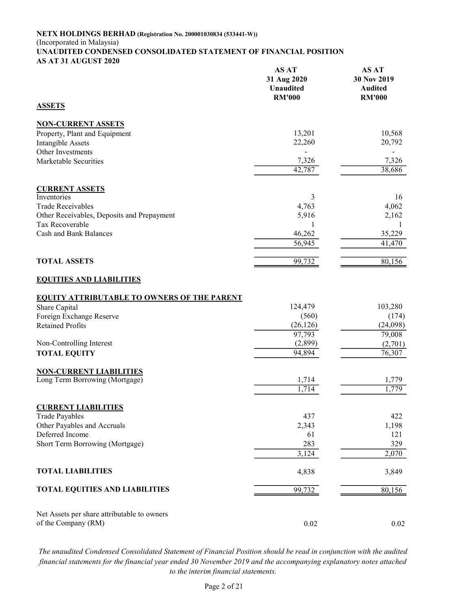#### NETX HOLDINGS BERHAD (Registration No. 200001030834 (533441-W)) (Incorporated in Malaysia) UNAUDITED CONDENSED CONSOLIDATED STATEMENT OF FINANCIAL POSITION AS AT 31 AUGUST 2020

|                                                               | <b>AS AT</b><br>31 Aug 2020<br><b>Unaudited</b><br><b>RM'000</b> | <b>AS AT</b><br>30 Nov 2019<br><b>Audited</b><br><b>RM'000</b> |
|---------------------------------------------------------------|------------------------------------------------------------------|----------------------------------------------------------------|
| <b>ASSETS</b>                                                 |                                                                  |                                                                |
| <b>NON-CURRENT ASSETS</b>                                     |                                                                  |                                                                |
| Property, Plant and Equipment                                 | 13,201                                                           | 10,568                                                         |
| <b>Intangible Assets</b>                                      | 22,260                                                           | 20,792                                                         |
| Other Investments<br>Marketable Securities                    | 7,326                                                            | 7,326                                                          |
|                                                               | 42,787                                                           | 38,686                                                         |
|                                                               |                                                                  |                                                                |
| <b>CURRENT ASSETS</b>                                         |                                                                  |                                                                |
| Inventories                                                   | 3                                                                | 16                                                             |
| <b>Trade Receivables</b>                                      | 4,763                                                            | 4,062                                                          |
| Other Receivables, Deposits and Prepayment<br>Tax Recoverable | 5,916<br>1                                                       | 2,162<br>$\mathbf{1}$                                          |
| <b>Cash and Bank Balances</b>                                 | 46,262                                                           | 35,229                                                         |
|                                                               | 56,945                                                           | 41,470                                                         |
|                                                               |                                                                  |                                                                |
| <b>TOTAL ASSETS</b>                                           | 99,732                                                           | 80,156                                                         |
| <b>EQUITIES AND LIABILITIES</b>                               |                                                                  |                                                                |
| <b>EQUITY ATTRIBUTABLE TO OWNERS OF THE PARENT</b>            |                                                                  |                                                                |
| Share Capital                                                 | 124,479                                                          | 103,280                                                        |
| Foreign Exchange Reserve                                      | (560)                                                            | (174)                                                          |
| <b>Retained Profits</b>                                       | (26, 126)<br>97,793                                              | (24,098)<br>79,008                                             |
| Non-Controlling Interest                                      | (2,899)                                                          | (2,701)                                                        |
| <b>TOTAL EQUITY</b>                                           | 94,894                                                           | 76,307                                                         |
|                                                               |                                                                  |                                                                |
| <b>NON-CURRENT LIABILITIES</b>                                |                                                                  |                                                                |
| Long Term Borrowing (Mortgage)                                | 1,714<br>1,714                                                   | 1,779<br>1,779                                                 |
|                                                               |                                                                  |                                                                |
| <b>CURRENT LIABILITIES</b>                                    |                                                                  |                                                                |
| <b>Trade Payables</b>                                         | 437                                                              | 422                                                            |
| Other Payables and Accruals                                   | 2,343                                                            | 1,198                                                          |
| Deferred Income                                               | 61                                                               | 121                                                            |
| Short Term Borrowing (Mortgage)                               | 283<br>3,124                                                     | 329<br>2,070                                                   |
|                                                               |                                                                  |                                                                |
| <b>TOTAL LIABILITIES</b>                                      | 4,838                                                            | 3,849                                                          |
| <b>TOTAL EQUITIES AND LIABILITIES</b>                         | 99,732                                                           | 80,156                                                         |
|                                                               |                                                                  |                                                                |
| Net Assets per share attributable to owners                   |                                                                  |                                                                |
| of the Company (RM)                                           | 0.02                                                             | 0.02                                                           |

The unaudited Condensed Consolidated Statement of Financial Position should be read in conjunction with the audited financial statements for the financial year ended 30 November 2019 and the accompanying explanatory notes attached to the interim financial statements.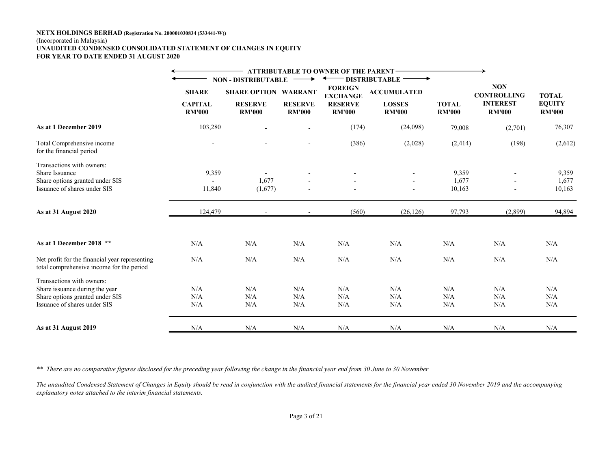#### NETX HOLDINGS BERHAD (Registration No. 200001030834 (533441-W)) (Incorporated in Malaysia) UNAUDITED CONDENSED CONSOLIDATED STATEMENT OF CHANGES IN EQUITY FOR YEAR TO DATE ENDED 31 AUGUST 2020

|                                                                                                                |                                 |                                 |                                 | ATTRIBUTABLE TO OWNER OF THE PARENT- |                                |                               |                                  |                                |
|----------------------------------------------------------------------------------------------------------------|---------------------------------|---------------------------------|---------------------------------|--------------------------------------|--------------------------------|-------------------------------|----------------------------------|--------------------------------|
|                                                                                                                |                                 | <b>NON - DISTRIBUTABLE</b>      |                                 |                                      | <b>DISTRIBUTABLE</b>           |                               |                                  |                                |
|                                                                                                                | <b>SHARE</b>                    | <b>SHARE OPTION</b>             | <b>WARRANT</b>                  | <b>FOREIGN</b><br><b>EXCHANGE</b>    | <b>ACCUMULATED</b>             |                               | <b>NON</b><br><b>CONTROLLING</b> | <b>TOTAL</b>                   |
|                                                                                                                | <b>CAPITAL</b><br><b>RM'000</b> | <b>RESERVE</b><br><b>RM'000</b> | <b>RESERVE</b><br><b>RM'000</b> | <b>RESERVE</b><br><b>RM'000</b>      | <b>LOSSES</b><br><b>RM'000</b> | <b>TOTAL</b><br><b>RM'000</b> | <b>INTEREST</b><br><b>RM'000</b> | <b>EQUITY</b><br><b>RM'000</b> |
| As at 1 December 2019                                                                                          | 103,280                         |                                 |                                 | (174)                                | (24,098)                       | 79,008                        | (2,701)                          | 76,307                         |
| Total Comprehensive income<br>for the financial period                                                         | $\sim$                          |                                 | $\overline{\phantom{a}}$        | (386)                                | (2,028)                        | (2, 414)                      | (198)                            | (2,612)                        |
| Transactions with owners:<br>Share Issuance<br>Share options granted under SIS<br>Issuance of shares under SIS | 9,359<br>11,840                 | 1,677<br>(1,677)                |                                 |                                      |                                | 9,359<br>1,677<br>10,163      |                                  | 9,359<br>1,677<br>10,163       |
| As at 31 August 2020                                                                                           | 124,479                         |                                 |                                 | (560)                                | (26, 126)                      | 97,793                        | (2,899)                          | 94,894                         |
|                                                                                                                |                                 |                                 |                                 |                                      |                                |                               |                                  |                                |
| As at 1 December 2018 **                                                                                       | N/A                             | N/A                             | N/A                             | N/A                                  | N/A                            | N/A                           | N/A                              | N/A                            |
| Net profit for the financial year representing<br>total comprehensive income for the period                    | N/A                             | N/A                             | N/A                             | N/A                                  | N/A                            | N/A                           | N/A                              | N/A                            |
| Transactions with owners:                                                                                      |                                 |                                 |                                 |                                      |                                |                               |                                  |                                |
| Share issuance during the year                                                                                 | N/A                             | N/A                             | N/A                             | N/A                                  | N/A                            | N/A                           | N/A                              | N/A                            |
| Share options granted under SIS                                                                                | N/A                             | N/A                             | N/A                             | N/A                                  | N/A                            | N/A                           | N/A                              | N/A                            |
| Issuance of shares under SIS                                                                                   | N/A                             | N/A                             | N/A                             | N/A                                  | N/A                            | N/A                           | N/A                              | N/A                            |
| As at 31 August 2019                                                                                           | N/A                             | N/A                             | N/A                             | N/A                                  | N/A                            | N/A                           | N/A                              | N/A                            |

\*\* There are no comparative figures disclosed for the preceding year following the change in the financial year end from 30 June to 30 November

The unaudited Condensed Statement of Changes in Equity should be read in conjunction with the audited financial statements for the financial year ended 30 November 2019 and the accompanying explanatory notes attached to the interim financial statements.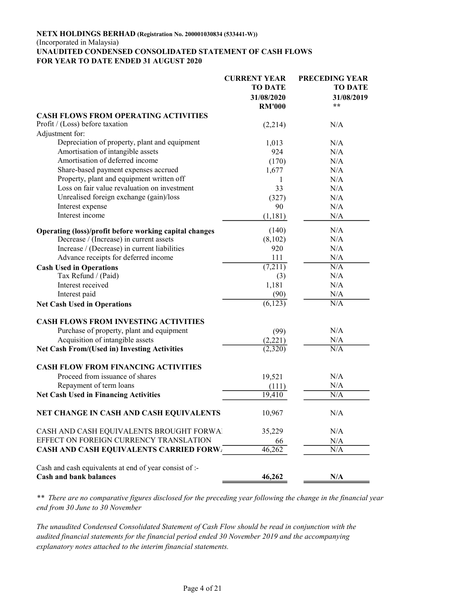#### NETX HOLDINGS BERHAD (Registration No. 200001030834 (533441-W)) (Incorporated in Malaysia) UNAUDITED CONDENSED CONSOLIDATED STATEMENT OF CASH FLOWS FOR YEAR TO DATE ENDED 31 AUGUST 2020

|                                                                                         | <b>CURRENT YEAR</b> | <b>PRECEDING YEAR</b> |
|-----------------------------------------------------------------------------------------|---------------------|-----------------------|
|                                                                                         | <b>TO DATE</b>      | <b>TO DATE</b>        |
|                                                                                         | 31/08/2020          | 31/08/2019            |
|                                                                                         | <b>RM'000</b>       | $\star \star$         |
| <b>CASH FLOWS FROM OPERATING ACTIVITIES</b>                                             |                     |                       |
| Profit / (Loss) before taxation                                                         | (2,214)             | N/A                   |
| Adjustment for:                                                                         |                     |                       |
| Depreciation of property, plant and equipment                                           | 1,013               | N/A                   |
| Amortisation of intangible assets                                                       | 924                 | N/A                   |
| Amortisation of deferred income                                                         | (170)               | N/A                   |
| Share-based payment expenses accrued                                                    | 1,677               | N/A                   |
| Property, plant and equipment written off                                               | 1                   | N/A                   |
| Loss on fair value revaluation on investment                                            | 33                  | N/A                   |
| Unrealised foreign exchange (gain)/loss                                                 | (327)               | N/A                   |
| Interest expense                                                                        | 90                  | N/A                   |
| Interest income                                                                         |                     | N/A                   |
|                                                                                         | (1,181)             |                       |
| Operating (loss)/profit before working capital changes                                  | (140)               | N/A                   |
| Decrease / (Increase) in current assets                                                 | (8,102)             | N/A                   |
| Increase / (Decrease) in current liabilities                                            | 920                 | N/A                   |
| Advance receipts for deferred income                                                    | 111                 | N/A                   |
| <b>Cash Used in Operations</b>                                                          | (7,211)             | N/A                   |
| Tax Refund / (Paid)                                                                     | (3)                 | N/A                   |
| Interest received                                                                       | 1,181               | N/A                   |
| Interest paid                                                                           | (90)                | N/A                   |
| <b>Net Cash Used in Operations</b>                                                      | (6, 123)            | N/A                   |
| <b>CASH FLOWS FROM INVESTING ACTIVITIES</b>                                             |                     |                       |
|                                                                                         |                     | N/A                   |
| Purchase of property, plant and equipment<br>Acquisition of intangible assets           | (99)                | N/A                   |
|                                                                                         | (2,221)             |                       |
| <b>Net Cash From/(Used in) Investing Activities</b>                                     | (2,320)             | N/A                   |
| <b>CASH FLOW FROM FINANCING ACTIVITIES</b>                                              |                     |                       |
| Proceed from issuance of shares                                                         | 19,521              | N/A                   |
| Repayment of term loans                                                                 | (111)               | N/A                   |
| <b>Net Cash Used in Financing Activities</b>                                            | 19,410              | N/A                   |
| NET CHANGE IN CASH AND CASH EQUIVALENTS                                                 | 10,967              | N/A                   |
| CASH AND CASH EQUIVALENTS BROUGHT FORWAL                                                | 35,229              | N/A                   |
| EFFECT ON FOREIGN CURRENCY TRANSLATION                                                  | 66                  | N/A                   |
| <b>CASH AND CASH EQUIVALENTS CARRIED FORWE</b>                                          | 46,262              | N/A                   |
| Cash and cash equivalents at end of year consist of :-<br><b>Cash and bank balances</b> | 46,262              | N/A                   |

\*\* There are no comparative figures disclosed for the preceding year following the change in the financial year end from 30 June to 30 November

The unaudited Condensed Consolidated Statement of Cash Flow should be read in conjunction with the audited financial statements for the financial period ended 30 November 2019 and the accompanying explanatory notes attached to the interim financial statements.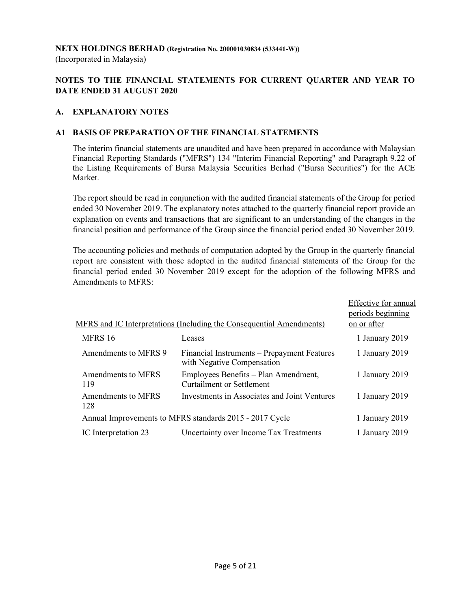#### NETX HOLDINGS BERHAD (Registration No. 200001030834 (533441-W))

(Incorporated in Malaysia)

## NOTES TO THE FINANCIAL STATEMENTS FOR CURRENT QUARTER AND YEAR TO DATE ENDED 31 AUGUST 2020

#### A. EXPLANATORY NOTES

#### A1 BASIS OF PREPARATION OF THE FINANCIAL STATEMENTS

 The interim financial statements are unaudited and have been prepared in accordance with Malaysian Financial Reporting Standards ("MFRS") 134 "Interim Financial Reporting" and Paragraph 9.22 of the Listing Requirements of Bursa Malaysia Securities Berhad ("Bursa Securities") for the ACE Market.

 The report should be read in conjunction with the audited financial statements of the Group for period ended 30 November 2019. The explanatory notes attached to the quarterly financial report provide an explanation on events and transactions that are significant to an understanding of the changes in the financial position and performance of the Group since the financial period ended 30 November 2019.

 The accounting policies and methods of computation adopted by the Group in the quarterly financial report are consistent with those adopted in the audited financial statements of the Group for the financial period ended 30 November 2019 except for the adoption of the following MFRS and Amendments to MFRS:

|                           |                                                                           | Effective for annual |
|---------------------------|---------------------------------------------------------------------------|----------------------|
|                           |                                                                           | periods beginning    |
|                           | MFRS and IC Interpretations (Including the Consequential Amendments)      | on or after          |
| MFRS 16                   | Leases                                                                    | 1 January 2019       |
| Amendments to MFRS 9      | Financial Instruments – Prepayment Features<br>with Negative Compensation | 1 January 2019       |
| Amendments to MFRS<br>119 | Employees Benefits - Plan Amendment,<br><b>Curtailment or Settlement</b>  | 1 January 2019       |
| Amendments to MFRS<br>128 | Investments in Associates and Joint Ventures                              | 1 January 2019       |
|                           | Annual Improvements to MFRS standards 2015 - 2017 Cycle                   | 1 January 2019       |
| IC Interpretation 23      | Uncertainty over Income Tax Treatments                                    | 1 January 2019       |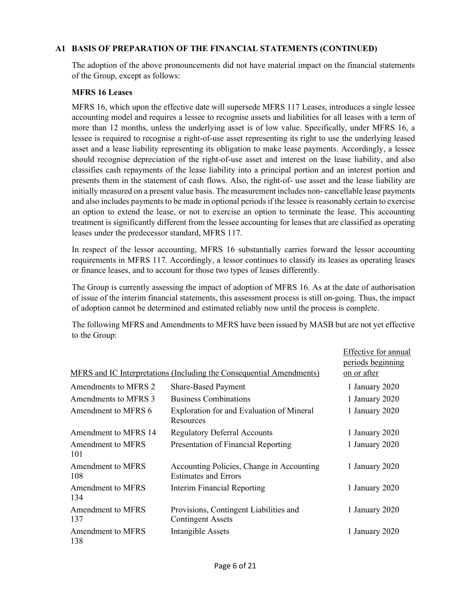## A1 BASIS OF PREPARATION OF THE FINANCIAL STATEMENTS (CONTINUED)

The adoption of the above pronouncements did not have material impact on the financial statements of the Group, except as follows:

#### MFRS 16 Leases

MFRS 16, which upon the effective date will supersede MFRS 117 Leases, introduces a single lessee accounting model and requires a lessee to recognise assets and liabilities for all leases with a term of more than 12 months, unless the underlying asset is of low value. Specifically, under MFRS 16, a lessee is required to recognise a right-of-use asset representing its right to use the underlying leased asset and a lease liability representing its obligation to make lease payments. Accordingly, a lessee should recognise depreciation of the right-of-use asset and interest on the lease liability, and also classifies cash repayments of the lease liability into a principal portion and an interest portion and presents them in the statement of cash flows. Also, the right-of- use asset and the lease liability are initially measured on a present value basis. The measurement includes non- cancellable lease payments and also includes payments to be made in optional periods if the lessee is reasonably certain to exercise an option to extend the lease, or not to exercise an option to terminate the lease. This accounting treatment is significantly different from the lessee accounting for leases that are classified as operating leases under the predecessor standard, MFRS 117.

In respect of the lessor accounting, MFRS 16 substantially carries forward the lessor accounting requirements in MFRS 117. Accordingly, a lessor continues to classify its leases as operating leases or finance leases, and to account for those two types of leases differently.

The Group is currently assessing the impact of adoption of MFRS 16. As at the date of authorisation of issue of the interim financial statements, this assessment process is still on-going. Thus, the impact of adoption cannot be determined and estimated reliably now until the process is complete.

The following MFRS and Amendments to MFRS have been issued by MASB but are not yet effective to the Group:

|                                 |                                                                          | Effective for annual |
|---------------------------------|--------------------------------------------------------------------------|----------------------|
|                                 |                                                                          | periods beginning    |
|                                 | MFRS and IC Interpretations (Including the Consequential Amendments)     | on or after          |
| Amendments to MFRS 2            | <b>Share-Based Payment</b>                                               | 1 January 2020       |
| Amendments to MFRS 3            | <b>Business Combinations</b>                                             | 1 January 2020       |
| Amendment to MFRS 6             | Exploration for and Evaluation of Mineral<br>Resources                   | 1 January 2020       |
| Amendment to MFRS 14            | <b>Regulatory Deferral Accounts</b>                                      | 1 January 2020       |
| Amendment to MFRS<br>101        | Presentation of Financial Reporting                                      | 1 January 2020       |
| Amendment to MFRS<br>108        | Accounting Policies, Change in Accounting<br><b>Estimates and Errors</b> | 1 January 2020       |
| <b>Amendment to MFRS</b><br>134 | <b>Interim Financial Reporting</b>                                       | 1 January 2020       |
| <b>Amendment to MFRS</b><br>137 | Provisions, Contingent Liabilities and<br><b>Contingent Assets</b>       | 1 January 2020       |
| <b>Amendment to MFRS</b><br>138 | <b>Intangible Assets</b>                                                 | 1 January 2020       |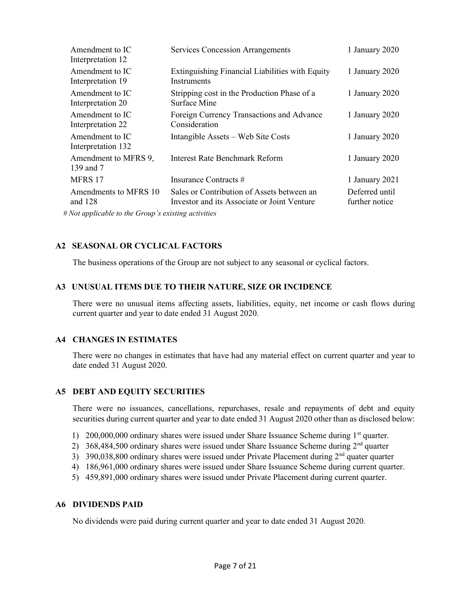| Amendment to IC<br>Interpretation 12                                                                             | <b>Services Concession Arrangements</b>                                                   | 1 January 2020                   |
|------------------------------------------------------------------------------------------------------------------|-------------------------------------------------------------------------------------------|----------------------------------|
| Amendment to IC<br>Interpretation 19                                                                             | Extinguishing Financial Liabilities with Equity<br>Instruments                            | 1 January 2020                   |
| Amendment to IC<br>Interpretation 20                                                                             | Stripping cost in the Production Phase of a<br>Surface Mine                               | 1 January 2020                   |
| Amendment to IC<br>Interpretation 22                                                                             | Foreign Currency Transactions and Advance<br>Consideration                                | 1 January 2020                   |
| Amendment to IC<br>Interpretation 132                                                                            | Intangible Assets – Web Site Costs                                                        | 1 January 2020                   |
| Amendment to MFRS 9,<br>139 and 7                                                                                | <b>Interest Rate Benchmark Reform</b>                                                     | 1 January 2020                   |
| MFRS 17                                                                                                          | Insurance Contracts #                                                                     | 1 January 2021                   |
| Amendments to MFRS 10<br>and $128$                                                                               | Sales or Contribution of Assets between an<br>Investor and its Associate or Joint Venture | Deferred until<br>further notice |
| $M_{11}$ and $L_{12}$ and $L_{13}$ and $L_{14}$ and $L_{15}$ and $L_{16}$ and $L_{17}$ and $L_{18}$ and $L_{19}$ |                                                                                           |                                  |

# Not applicable to the Group's existing activities

## A2 SEASONAL OR CYCLICAL FACTORS

The business operations of the Group are not subject to any seasonal or cyclical factors.

#### A3 UNUSUAL ITEMS DUE TO THEIR NATURE, SIZE OR INCIDENCE

 There were no unusual items affecting assets, liabilities, equity, net income or cash flows during current quarter and year to date ended 31 August 2020.

## A4 CHANGES IN ESTIMATES

 There were no changes in estimates that have had any material effect on current quarter and year to date ended 31 August 2020.

## A5 DEBT AND EQUITY SECURITIES

 There were no issuances, cancellations, repurchases, resale and repayments of debt and equity securities during current quarter and year to date ended 31 August 2020 other than as disclosed below:

- 1) 200,000,000 ordinary shares were issued under Share Issuance Scheme during 1<sup>st</sup> quarter.
- 2) 368,484,500 ordinary shares were issued under Share Issuance Scheme during  $2<sup>nd</sup>$  quarter
- 3) 390,038,800 ordinary shares were issued under Private Placement during  $2<sup>nd</sup>$  quater quarter
- 4) 186,961,000 ordinary shares were issued under Share Issuance Scheme during current quarter.
- 5) 459,891,000 ordinary shares were issued under Private Placement during current quarter.

#### A6 DIVIDENDS PAID

No dividends were paid during current quarter and year to date ended 31 August 2020.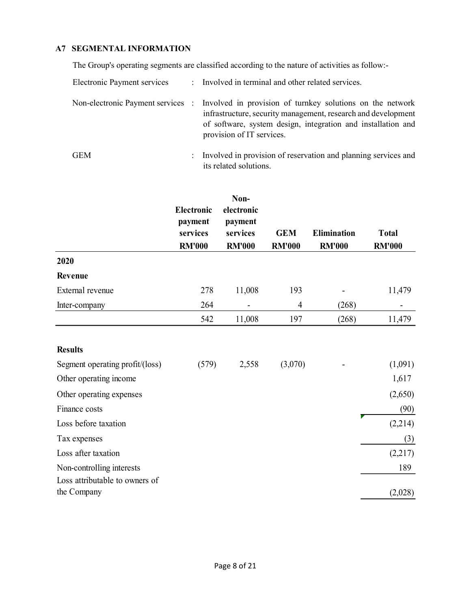## A7 SEGMENTAL INFORMATION

The Group's operating segments are classified according to the nature of activities as follow:-

| Electronic Payment services |                      | : Involved in terminal and other related services.                                                                                                                                                                                                        |
|-----------------------------|----------------------|-----------------------------------------------------------------------------------------------------------------------------------------------------------------------------------------------------------------------------------------------------------|
|                             |                      | Non-electronic Payment services : Involved in provision of turnkey solutions on the network<br>infrastructure, security management, research and development<br>of software, system design, integration and installation and<br>provision of IT services. |
| GEM                         | $\ddot{\phantom{a}}$ | Involved in provision of reservation and planning services and<br>its related solutions.                                                                                                                                                                  |

|                                                             | <b>Electronic</b><br>payment<br>services<br><b>RM'000</b> | Non-<br>electronic<br>payment<br>services<br><b>RM'000</b> | <b>GEM</b><br><b>RM'000</b> | <b>Elimination</b><br><b>RM'000</b> | <b>Total</b><br><b>RM'000</b> |
|-------------------------------------------------------------|-----------------------------------------------------------|------------------------------------------------------------|-----------------------------|-------------------------------------|-------------------------------|
| 2020                                                        |                                                           |                                                            |                             |                                     |                               |
| Revenue                                                     |                                                           |                                                            |                             |                                     |                               |
| External revenue                                            | 278                                                       | 11,008                                                     | 193                         |                                     | 11,479                        |
| Inter-company                                               | 264                                                       |                                                            | $\overline{4}$              | (268)                               |                               |
|                                                             | 542                                                       | 11,008                                                     | 197                         | (268)                               | 11,479                        |
| <b>Results</b>                                              |                                                           |                                                            |                             |                                     |                               |
| Segment operating profit/(loss)                             | (579)                                                     | 2,558                                                      | (3,070)                     |                                     | (1,091)                       |
| Other operating income                                      |                                                           |                                                            |                             |                                     | 1,617                         |
| Other operating expenses                                    |                                                           |                                                            |                             |                                     | (2,650)                       |
| Finance costs                                               |                                                           |                                                            |                             |                                     | (90)                          |
| Loss before taxation                                        |                                                           |                                                            |                             |                                     | (2,214)                       |
| Tax expenses                                                |                                                           |                                                            |                             |                                     | (3)                           |
| Loss after taxation                                         |                                                           |                                                            |                             |                                     | (2,217)                       |
| Non-controlling interests<br>Loss attributable to owners of |                                                           |                                                            |                             |                                     | 189                           |
| the Company                                                 |                                                           |                                                            |                             |                                     | (2,028)                       |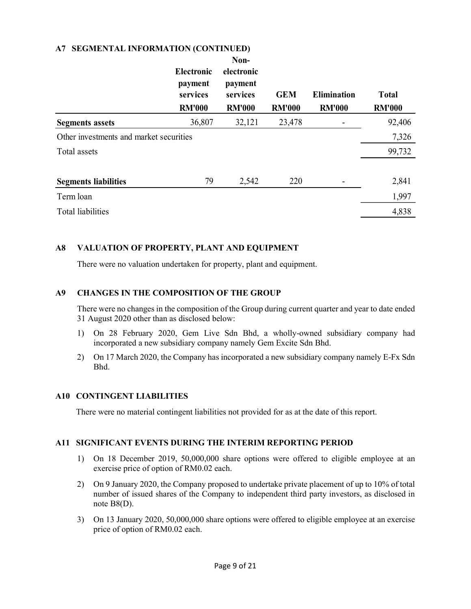#### A7 SEGMENTAL INFORMATION (CONTINUED)

|                                         | <b>Electronic</b><br>payment<br>services<br><b>RM'000</b> | Non-<br>electronic<br>payment<br>services<br><b>RM'000</b> | <b>GEM</b><br><b>RM'000</b> | <b>Elimination</b><br><b>RM'000</b> | <b>Total</b><br><b>RM'000</b> |
|-----------------------------------------|-----------------------------------------------------------|------------------------------------------------------------|-----------------------------|-------------------------------------|-------------------------------|
| <b>Segments assets</b>                  | 36,807                                                    | 32,121                                                     | 23,478                      |                                     | 92,406                        |
| Other investments and market securities |                                                           |                                                            |                             |                                     | 7,326                         |
| Total assets                            |                                                           |                                                            |                             |                                     | 99,732                        |
| <b>Segments liabilities</b>             | 79                                                        | 2,542                                                      | 220                         |                                     | 2,841                         |
| Term loan                               |                                                           |                                                            |                             |                                     | 1,997                         |
| <b>Total liabilities</b>                |                                                           |                                                            |                             |                                     | 4,838                         |

#### A8 VALUATION OF PROPERTY, PLANT AND EQUIPMENT

There were no valuation undertaken for property, plant and equipment.

#### A9 CHANGES IN THE COMPOSITION OF THE GROUP

There were no changes in the composition of the Group during current quarter and year to date ended 31 August 2020 other than as disclosed below:

- 1) On 28 February 2020, Gem Live Sdn Bhd, a wholly-owned subsidiary company had incorporated a new subsidiary company namely Gem Excite Sdn Bhd.
- 2) On 17 March 2020, the Company has incorporated a new subsidiary company namely E-Fx Sdn Bhd.

#### A10 CONTINGENT LIABILITIES

There were no material contingent liabilities not provided for as at the date of this report.

#### A11 SIGNIFICANT EVENTS DURING THE INTERIM REPORTING PERIOD

- 1) On 18 December 2019, 50,000,000 share options were offered to eligible employee at an exercise price of option of RM0.02 each.
- 2) On 9 January 2020, the Company proposed to undertake private placement of up to 10% of total number of issued shares of the Company to independent third party investors, as disclosed in note B8(D).
- 3) On 13 January 2020, 50,000,000 share options were offered to eligible employee at an exercise price of option of RM0.02 each.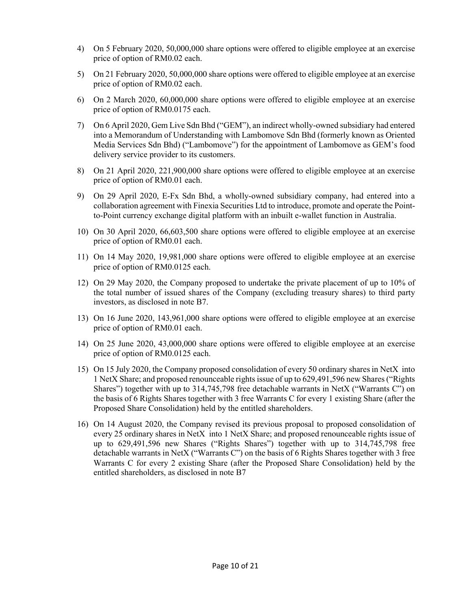- 4) On 5 February 2020, 50,000,000 share options were offered to eligible employee at an exercise price of option of RM0.02 each.
- 5) On 21 February 2020, 50,000,000 share options were offered to eligible employee at an exercise price of option of RM0.02 each.
- 6) On 2 March 2020, 60,000,000 share options were offered to eligible employee at an exercise price of option of RM0.0175 each.
- 7) On 6 April 2020, Gem Live Sdn Bhd ("GEM"), an indirect wholly-owned subsidiary had entered into a Memorandum of Understanding with Lambomove Sdn Bhd (formerly known as Oriented Media Services Sdn Bhd) ("Lambomove") for the appointment of Lambomove as GEM's food delivery service provider to its customers.
- 8) On 21 April 2020, 221,900,000 share options were offered to eligible employee at an exercise price of option of RM0.01 each.
- 9) On 29 April 2020, E-Fx Sdn Bhd, a wholly-owned subsidiary company, had entered into a collaboration agreement with Finexia Securities Ltd to introduce, promote and operate the Pointto-Point currency exchange digital platform with an inbuilt e-wallet function in Australia.
- 10) On 30 April 2020, 66,603,500 share options were offered to eligible employee at an exercise price of option of RM0.01 each.
- 11) On 14 May 2020, 19,981,000 share options were offered to eligible employee at an exercise price of option of RM0.0125 each.
- 12) On 29 May 2020, the Company proposed to undertake the private placement of up to 10% of the total number of issued shares of the Company (excluding treasury shares) to third party investors, as disclosed in note B7.
- 13) On 16 June 2020, 143,961,000 share options were offered to eligible employee at an exercise price of option of RM0.01 each.
- 14) On 25 June 2020, 43,000,000 share options were offered to eligible employee at an exercise price of option of RM0.0125 each.
- 15) On 15 July 2020, the Company proposed consolidation of every 50 ordinary shares in NetX into 1 NetX Share; and proposed renounceable rights issue of up to 629,491,596 new Shares ("Rights Shares") together with up to 314,745,798 free detachable warrants in NetX ("Warrants C") on the basis of 6 Rights Shares together with 3 free Warrants C for every 1 existing Share (after the Proposed Share Consolidation) held by the entitled shareholders.
- 16) On 14 August 2020, the Company revised its previous proposal to proposed consolidation of every 25 ordinary shares in NetX into 1 NetX Share; and proposed renounceable rights issue of up to 629,491,596 new Shares ("Rights Shares") together with up to 314,745,798 free detachable warrants in NetX ("Warrants C") on the basis of 6 Rights Shares together with 3 free Warrants C for every 2 existing Share (after the Proposed Share Consolidation) held by the entitled shareholders, as disclosed in note B7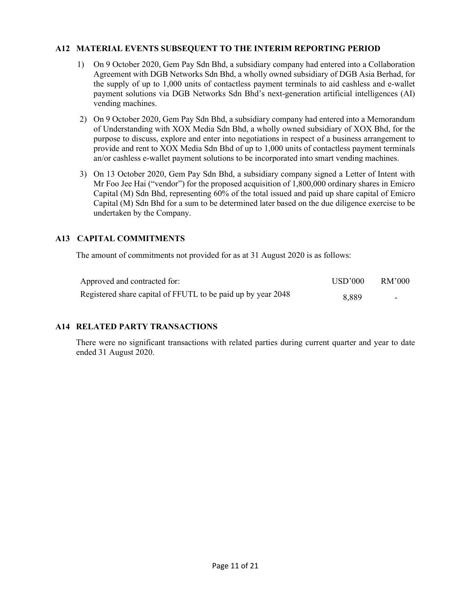#### A12 MATERIAL EVENTS SUBSEQUENT TO THE INTERIM REPORTING PERIOD

- 1) On 9 October 2020, Gem Pay Sdn Bhd, a subsidiary company had entered into a Collaboration Agreement with DGB Networks Sdn Bhd, a wholly owned subsidiary of DGB Asia Berhad, for the supply of up to 1,000 units of contactless payment terminals to aid cashless and e-wallet payment solutions via DGB Networks Sdn Bhd's next-generation artificial intelligences (AI) vending machines.
- 2) On 9 October 2020, Gem Pay Sdn Bhd, a subsidiary company had entered into a Memorandum of Understanding with XOX Media Sdn Bhd, a wholly owned subsidiary of XOX Bhd, for the purpose to discuss, explore and enter into negotiations in respect of a business arrangement to provide and rent to XOX Media Sdn Bhd of up to 1,000 units of contactless payment terminals an/or cashless e-wallet payment solutions to be incorporated into smart vending machines.
- 3) On 13 October 2020, Gem Pay Sdn Bhd, a subsidiary company signed a Letter of Intent with Mr Foo Jee Hai ("vendor") for the proposed acquisition of 1,800,000 ordinary shares in Emicro Capital (M) Sdn Bhd, representing 60% of the total issued and paid up share capital of Emicro Capital (M) Sdn Bhd for a sum to be determined later based on the due diligence exercise to be undertaken by the Company.

## A13 CAPITAL COMMITMENTS

The amount of commitments not provided for as at 31 August 2020 is as follows:

| Approved and contracted for:                                 | USD'000 | RM'000 |
|--------------------------------------------------------------|---------|--------|
| Registered share capital of FFUTL to be paid up by year 2048 | 8.889   | $\sim$ |

#### A14 RELATED PARTY TRANSACTIONS

 There were no significant transactions with related parties during current quarter and year to date ended 31 August 2020.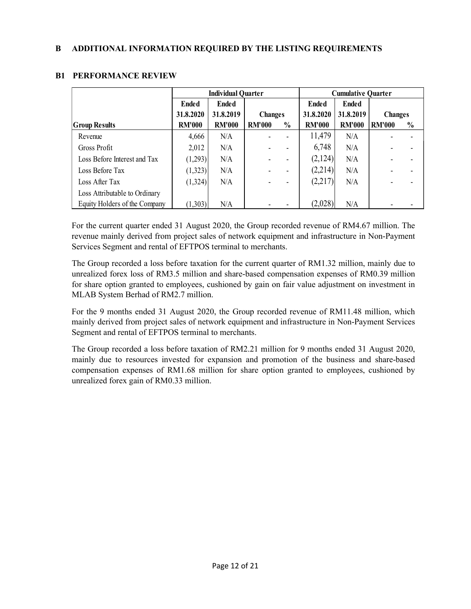|                               | <b>Individual Quarter</b> |               |                |      | <b>Cumulative Quarter</b> |               |                |               |
|-------------------------------|---------------------------|---------------|----------------|------|---------------------------|---------------|----------------|---------------|
|                               | <b>Ended</b>              | <b>Ended</b>  |                |      | <b>Ended</b>              | <b>Ended</b>  |                |               |
|                               | 31.8.2020                 | 31.8.2019     | <b>Changes</b> |      | 31.8.2020                 | 31.8.2019     | <b>Changes</b> |               |
| <b>Group Results</b>          | <b>RM'000</b>             | <b>RM'000</b> | <b>RM'000</b>  | $\%$ | <b>RM'000</b>             | <b>RM'000</b> | <b>RM'000</b>  | $\frac{0}{0}$ |
| Revenue                       | 4,666                     | N/A           |                |      | 11,479                    | N/A           |                |               |
| Gross Profit                  | 2,012                     | N/A           |                |      | 6,748                     | N/A           |                |               |
| Loss Before Interest and Tax  | (1,293)                   | N/A           |                |      | (2,124)                   | N/A           |                |               |
| Loss Before Tax               | (1,323)                   | N/A           |                |      | (2,214)                   | N/A           |                |               |
| Loss After Tax                | (1,324)                   | N/A           |                |      | (2,217)                   | N/A           |                |               |
| Loss Attributable to Ordinary |                           |               |                |      |                           |               |                |               |
| Equity Holders of the Company | (1,303)                   | N/A           |                |      | (2,028)                   | N/A           |                |               |

## B1 PERFORMANCE REVIEW

For the current quarter ended 31 August 2020, the Group recorded revenue of RM4.67 million. The revenue mainly derived from project sales of network equipment and infrastructure in Non-Payment Services Segment and rental of EFTPOS terminal to merchants.

The Group recorded a loss before taxation for the current quarter of RM1.32 million, mainly due to unrealized forex loss of RM3.5 million and share-based compensation expenses of RM0.39 million for share option granted to employees, cushioned by gain on fair value adjustment on investment in MLAB System Berhad of RM2.7 million.

For the 9 months ended 31 August 2020, the Group recorded revenue of RM11.48 million, which mainly derived from project sales of network equipment and infrastructure in Non-Payment Services Segment and rental of EFTPOS terminal to merchants.

The Group recorded a loss before taxation of RM2.21 million for 9 months ended 31 August 2020, mainly due to resources invested for expansion and promotion of the business and share-based compensation expenses of RM1.68 million for share option granted to employees, cushioned by unrealized forex gain of RM0.33 million.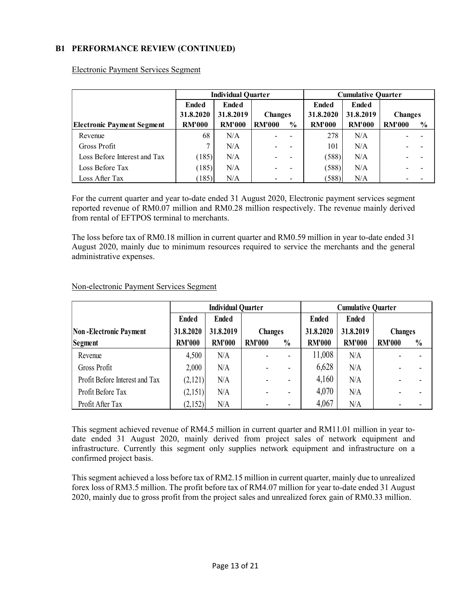## B1 PERFORMANCE REVIEW (CONTINUED)

|                                   | <b>Individual Quarter</b> |               |                | <b>Cumulative Quarter</b> |               |               |                |               |
|-----------------------------------|---------------------------|---------------|----------------|---------------------------|---------------|---------------|----------------|---------------|
|                                   | <b>Ended</b>              | <b>Ended</b>  |                |                           | <b>Ended</b>  | <b>Ended</b>  |                |               |
|                                   | 31.8.2020                 | 31.8.2019     | <b>Changes</b> |                           | 31.8.2020     | 31.8.2019     | <b>Changes</b> |               |
| <b>Electronic Payment Segment</b> | <b>RM'000</b>             | <b>RM'000</b> | <b>RM'000</b>  | $\frac{0}{0}$             | <b>RM'000</b> | <b>RM'000</b> | <b>RM'000</b>  | $\frac{6}{6}$ |
| Revenue                           | 68                        | N/A           |                |                           | 278           | N/A           |                |               |
| Gross Profit                      | $\mathcal{L}$             | N/A           |                |                           | 101           | N/A           |                |               |
| Loss Before Interest and Tax      | (185)                     | N/A           |                |                           | (588)         | N/A           |                |               |
| Loss Before Tax                   | (185)                     | N/A           |                |                           | (588)         | N/A           |                |               |
| Loss After Tax                    | (185)                     | N/A           |                |                           | (588)         | N/A           |                |               |

Electronic Payment Services Segment

For the current quarter and year to-date ended 31 August 2020, Electronic payment services segment reported revenue of RM0.07 million and RM0.28 million respectively. The revenue mainly derived from rental of EFTPOS terminal to merchants.

The loss before tax of RM0.18 million in current quarter and RM0.59 million in year to-date ended 31 August 2020, mainly due to minimum resources required to service the merchants and the general administrative expenses.

|                                | <b>Individual Quarter</b> |               |                | <b>Cumulative Quarter</b> |               |               |                |               |
|--------------------------------|---------------------------|---------------|----------------|---------------------------|---------------|---------------|----------------|---------------|
|                                | <b>Ended</b>              | <b>Ended</b>  |                |                           | <b>Ended</b>  | <b>Ended</b>  |                |               |
| <b>Non-Electronic Payment</b>  | 31.8.2020                 | 31.8.2019     | <b>Changes</b> |                           | 31.8.2020     | 31.8.2019     | <b>Changes</b> |               |
| Segment                        | <b>RM'000</b>             | <b>RM'000</b> | <b>RM'000</b>  | $\frac{0}{0}$             | <b>RM'000</b> | <b>RM'000</b> | <b>RM'000</b>  | $\frac{0}{0}$ |
| Revenue                        | 4,500                     | N/A           |                |                           | 11,008        | N/A           |                |               |
| Gross Profit                   | 2,000                     | N/A           |                |                           | 6,628         | N/A           |                |               |
| Profit Before Interest and Tax | (2,121)                   | N/A           |                |                           | 4,160         | N/A           |                |               |
| Profit Before Tax              | (2,151)                   | N/A           |                |                           | 4,070         | N/A           |                |               |
| Profit After Tax               | (2,152)                   | N/A           |                |                           | 4,067         | N/A           |                |               |

#### Non-electronic Payment Services Segment

This segment achieved revenue of RM4.5 million in current quarter and RM11.01 million in year todate ended 31 August 2020, mainly derived from project sales of network equipment and infrastructure. Currently this segment only supplies network equipment and infrastructure on a confirmed project basis.

This segment achieved a loss before tax of RM2.15 million in current quarter, mainly due to unrealized forex loss of RM3.5 million. The profit before tax of RM4.07 million for year to-date ended 31 August 2020, mainly due to gross profit from the project sales and unrealized forex gain of RM0.33 million.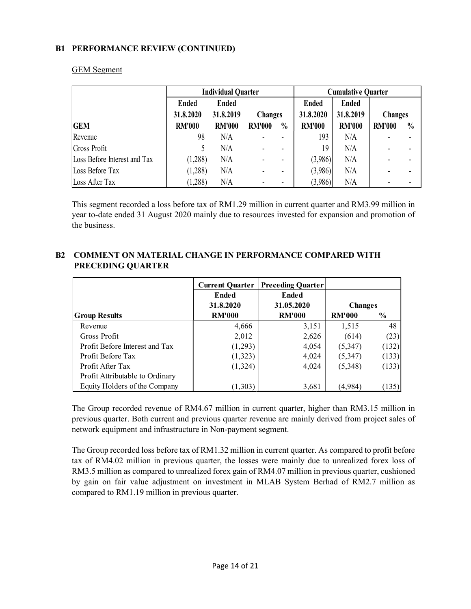## B1 PERFORMANCE REVIEW (CONTINUED)

|                              | <b>Individual Quarter</b> |               |                |               | <b>Cumulative Quarter</b> |               |                |               |
|------------------------------|---------------------------|---------------|----------------|---------------|---------------------------|---------------|----------------|---------------|
|                              | <b>Ended</b>              | <b>Ended</b>  |                |               | <b>Ended</b>              | <b>Ended</b>  |                |               |
|                              | 31.8.2020                 | 31.8.2019     | <b>Changes</b> |               | 31.8.2020                 | 31.8.2019     | <b>Changes</b> |               |
| <b>GEM</b>                   | <b>RM'000</b>             | <b>RM'000</b> | <b>RM'000</b>  | $\frac{0}{0}$ | <b>RM'000</b>             | <b>RM'000</b> | <b>RM'000</b>  | $\frac{0}{0}$ |
| Revenue                      | 98                        | N/A           |                |               | 193                       | N/A           |                |               |
| Gross Profit                 |                           | N/A           |                |               | 19                        | N/A           |                |               |
| Loss Before Interest and Tax | (1,288)                   | N/A           |                |               | (3,986)                   | N/A           |                |               |
| Loss Before Tax              | (1,288)                   | N/A           |                |               | (3,986)                   | N/A           |                |               |
| Loss After Tax               | (1,288)                   | N/A           |                |               | (3,986)                   | N/A           |                |               |

#### GEM Segment

This segment recorded a loss before tax of RM1.29 million in current quarter and RM3.99 million in year to-date ended 31 August 2020 mainly due to resources invested for expansion and promotion of the business.

# PRECEDING QUARTER Preceding Quarter Ended Ended 31.8.2020 31.05.2020 Group Results RM'000 RM'000 RM'000 % Revenue 1 4,666 3,151 1,515 48 Profit Attributable to Ordinary Current Quarter Changes

B2 COMMENT ON MATERIAL CHANGE IN PERFORMANCE COMPARED WITH

Gross Profit  $2,012$   $2,626$   $(614)$   $(23)$ Profit Before Interest and Tax  $(1,293)$   $(3,347)$   $(132)$ Profit Before Tax  $(1,323)$   $(3,347)$   $(133)$ Profit After Tax  $(1,324)$   $(5,348)$   $(133)$ Equity Holders of the Company  $(1,303)$   $(4,984)$   $(135)$ 

The Group recorded revenue of RM4.67 million in current quarter, higher than RM3.15 million in previous quarter. Both current and previous quarter revenue are mainly derived from project sales of network equipment and infrastructure in Non-payment segment.

The Group recorded loss before tax of RM1.32 million in current quarter. As compared to profit before tax of RM4.02 million in previous quarter, the losses were mainly due to unrealized forex loss of RM3.5 million as compared to unrealized forex gain of RM4.07 million in previous quarter, cushioned by gain on fair value adjustment on investment in MLAB System Berhad of RM2.7 million as compared to RM1.19 million in previous quarter.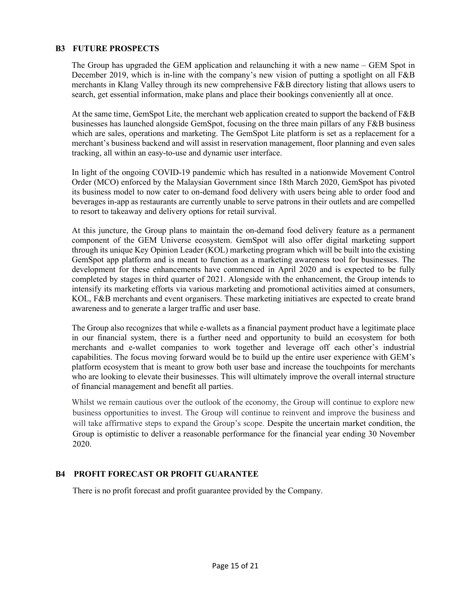## B3 FUTURE PROSPECTS

The Group has upgraded the GEM application and relaunching it with a new name – GEM Spot in December 2019, which is in-line with the company's new vision of putting a spotlight on all F&B merchants in Klang Valley through its new comprehensive F&B directory listing that allows users to search, get essential information, make plans and place their bookings conveniently all at once.

At the same time, GemSpot Lite, the merchant web application created to support the backend of F&B businesses has launched alongside GemSpot, focusing on the three main pillars of any F&B business which are sales, operations and marketing. The GemSpot Lite platform is set as a replacement for a merchant's business backend and will assist in reservation management, floor planning and even sales tracking, all within an easy-to-use and dynamic user interface.

In light of the ongoing COVID-19 pandemic which has resulted in a nationwide Movement Control Order (MCO) enforced by the Malaysian Government since 18th March 2020, GemSpot has pivoted its business model to now cater to on-demand food delivery with users being able to order food and beverages in-app as restaurants are currently unable to serve patrons in their outlets and are compelled to resort to takeaway and delivery options for retail survival.

At this juncture, the Group plans to maintain the on-demand food delivery feature as a permanent component of the GEM Universe ecosystem. GemSpot will also offer digital marketing support through its unique Key Opinion Leader (KOL) marketing program which will be built into the existing GemSpot app platform and is meant to function as a marketing awareness tool for businesses. The development for these enhancements have commenced in April 2020 and is expected to be fully completed by stages in third quarter of 2021. Alongside with the enhancement, the Group intends to intensify its marketing efforts via various marketing and promotional activities aimed at consumers, KOL, F&B merchants and event organisers. These marketing initiatives are expected to create brand awareness and to generate a larger traffic and user base.

The Group also recognizes that while e-wallets as a financial payment product have a legitimate place in our financial system, there is a further need and opportunity to build an ecosystem for both merchants and e-wallet companies to work together and leverage off each other's industrial capabilities. The focus moving forward would be to build up the entire user experience with GEM's platform ecosystem that is meant to grow both user base and increase the touchpoints for merchants who are looking to elevate their businesses. This will ultimately improve the overall internal structure of financial management and benefit all parties.

Whilst we remain cautious over the outlook of the economy, the Group will continue to explore new business opportunities to invest. The Group will continue to reinvent and improve the business and will take affirmative steps to expand the Group's scope. Despite the uncertain market condition, the Group is optimistic to deliver a reasonable performance for the financial year ending 30 November 2020.

## B4 PROFIT FORECAST OR PROFIT GUARANTEE

There is no profit forecast and profit guarantee provided by the Company.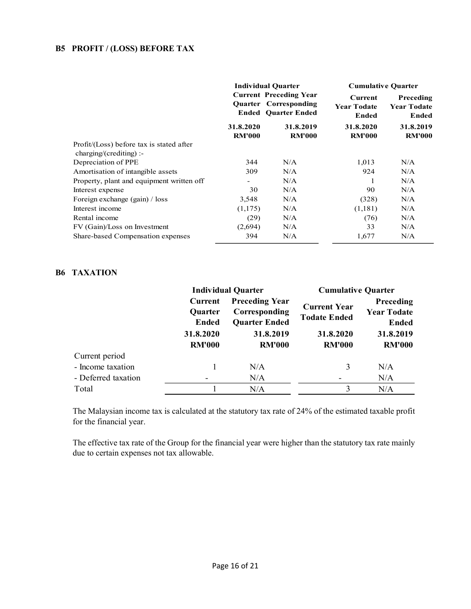## B5 PROFIT / (LOSS) BEFORE TAX

|                                                                       |                            | <b>Individual Quarter</b>                                                                   | <b>Cumulative Quarter</b>                     |                                          |  |
|-----------------------------------------------------------------------|----------------------------|---------------------------------------------------------------------------------------------|-----------------------------------------------|------------------------------------------|--|
|                                                                       |                            | <b>Current Preceding Year</b><br><b>Quarter Corresponding</b><br><b>Ended Quarter Ended</b> | Current<br><b>Year Todate</b><br><b>Ended</b> | Preceding<br><b>Year Todate</b><br>Ended |  |
|                                                                       | 31.8.2020<br><b>RM'000</b> | 31.8.2019<br><b>RM'000</b>                                                                  | 31.8.2020<br><b>RM'000</b>                    | 31.8.2019<br><b>RM'000</b>               |  |
| Profit/(Loss) before tax is stated after<br>$charging/(crediting)$ :- |                            |                                                                                             |                                               |                                          |  |
| Depreciation of PPE                                                   | 344                        | N/A                                                                                         | 1,013                                         | N/A                                      |  |
| Amortisation of intangible assets                                     | 309                        | N/A                                                                                         | 924                                           | N/A                                      |  |
| Property, plant and equipment written off                             | $\overline{\phantom{a}}$   | N/A                                                                                         |                                               | N/A                                      |  |
| Interest expense                                                      | 30                         | N/A                                                                                         | 90                                            | N/A                                      |  |
| Foreign exchange (gain) / loss                                        | 3,548                      | N/A                                                                                         | (328)                                         | N/A                                      |  |
| Interest income                                                       | (1,175)                    | N/A                                                                                         | (1,181)                                       | N/A                                      |  |
| Rental income                                                         | (29)                       | N/A                                                                                         | (76)                                          | N/A                                      |  |
| FV (Gain)/Loss on Investment                                          | (2,694)                    | N/A                                                                                         | 33                                            | N/A                                      |  |
| Share-based Compensation expenses                                     | 394                        | N/A                                                                                         | 1,677                                         | N/A                                      |  |

#### B6 TAXATION

|                     |                                                           | <b>Individual Quarter</b>                                                                    | <b>Cumulative Quarter</b>                                                |                                                                                      |  |
|---------------------|-----------------------------------------------------------|----------------------------------------------------------------------------------------------|--------------------------------------------------------------------------|--------------------------------------------------------------------------------------|--|
|                     | Current<br>Quarter<br>Ended<br>31.8.2020<br><b>RM'000</b> | <b>Preceding Year</b><br>Corresponding<br><b>Quarter Ended</b><br>31.8.2019<br><b>RM'000</b> | <b>Current Year</b><br><b>Todate Ended</b><br>31.8.2020<br><b>RM'000</b> | <b>Preceding</b><br><b>Year Todate</b><br><b>Ended</b><br>31.8.2019<br><b>RM'000</b> |  |
| Current period      |                                                           |                                                                                              |                                                                          |                                                                                      |  |
| - Income taxation   |                                                           | N/A                                                                                          | 3                                                                        | N/A                                                                                  |  |
| - Deferred taxation |                                                           | N/A                                                                                          |                                                                          | N/A                                                                                  |  |
| Total               |                                                           | N/A                                                                                          | 3                                                                        | N/A                                                                                  |  |

 The Malaysian income tax is calculated at the statutory tax rate of 24% of the estimated taxable profit for the financial year.

 The effective tax rate of the Group for the financial year were higher than the statutory tax rate mainly due to certain expenses not tax allowable.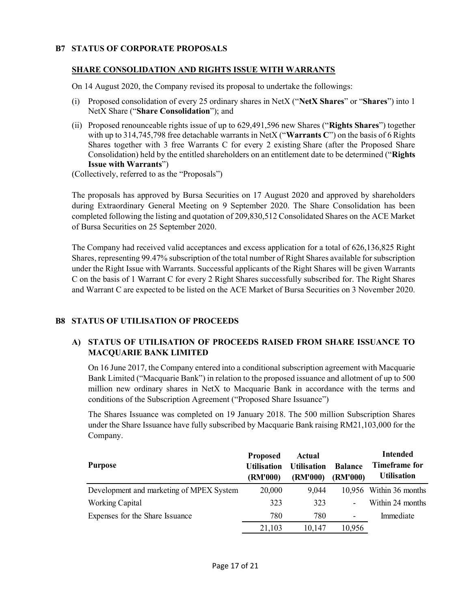#### B7 STATUS OF CORPORATE PROPOSALS

#### SHARE CONSOLIDATION AND RIGHTS ISSUE WITH WARRANTS

On 14 August 2020, the Company revised its proposal to undertake the followings:

- (i) Proposed consolidation of every 25 ordinary shares in NetX ("NetX Shares" or "Shares") into 1 NetX Share ("Share Consolidation"); and
- (ii) Proposed renounceable rights issue of up to 629,491,596 new Shares ("Rights Shares") together with up to 314,745,798 free detachable warrants in NetX ("Warrants C") on the basis of 6 Rights Shares together with 3 free Warrants C for every 2 existing Share (after the Proposed Share Consolidation) held by the entitled shareholders on an entitlement date to be determined ("Rights Issue with Warrants")

(Collectively, referred to as the "Proposals")

The proposals has approved by Bursa Securities on 17 August 2020 and approved by shareholders during Extraordinary General Meeting on 9 September 2020. The Share Consolidation has been completed following the listing and quotation of 209,830,512 Consolidated Shares on the ACE Market of Bursa Securities on 25 September 2020.

The Company had received valid acceptances and excess application for a total of 626,136,825 Right Shares, representing 99.47% subscription of the total number of Right Shares available for subscription under the Right Issue with Warrants. Successful applicants of the Right Shares will be given Warrants C on the basis of 1 Warrant C for every 2 Right Shares successfully subscribed for. The Right Shares and Warrant C are expected to be listed on the ACE Market of Bursa Securities on 3 November 2020.

## B8 STATUS OF UTILISATION OF PROCEEDS

#### A) STATUS OF UTILISATION OF PROCEEDS RAISED FROM SHARE ISSUANCE TO MACQUARIE BANK LIMITED

On 16 June 2017, the Company entered into a conditional subscription agreement with Macquarie Bank Limited ("Macquarie Bank") in relation to the proposed issuance and allotment of up to 500 million new ordinary shares in NetX to Macquarie Bank in accordance with the terms and conditions of the Subscription Agreement ("Proposed Share Issuance")

The Shares Issuance was completed on 19 January 2018. The 500 million Subscription Shares under the Share Issuance have fully subscribed by Macquarie Bank raising RM21,103,000 for the Company.

| <b>Purpose</b>                           | <b>Proposed</b><br><b>Utilisation</b><br>(RM'000) | Actual<br><b>Utilisation</b><br>(RM'000) | <b>Balance</b><br>(RM'000) | <b>Intended</b><br>Timeframe for<br><b>Utilisation</b> |
|------------------------------------------|---------------------------------------------------|------------------------------------------|----------------------------|--------------------------------------------------------|
| Development and marketing of MPEX System | 20,000                                            | 9,044                                    |                            | 10,956 Within 36 months                                |
| <b>Working Capital</b>                   | 323                                               | 323                                      |                            | Within 24 months                                       |
| Expenses for the Share Issuance          | 780                                               | 780                                      | $\overline{\phantom{0}}$   | Immediate                                              |
|                                          | 21,103                                            | 10,147                                   | 10,956                     |                                                        |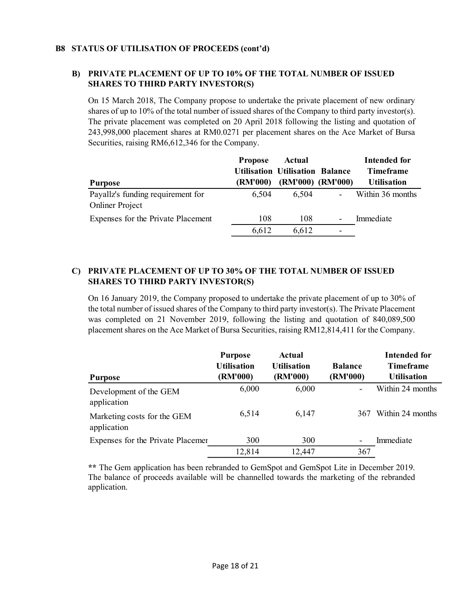#### B8 STATUS OF UTILISATION OF PROCEEDS (cont'd)

## B) PRIVATE PLACEMENT OF UP TO 10% OF THE TOTAL NUMBER OF ISSUED SHARES TO THIRD PARTY INVESTOR(S)

On 15 March 2018, The Company propose to undertake the private placement of new ordinary shares of up to 10% of the total number of issued shares of the Company to third party investor(s). The private placement was completed on 20 April 2018 following the listing and quotation of 243,998,000 placement shares at RM0.0271 per placement shares on the Ace Market of Bursa Securities, raising RM6,612,346 for the Company.

|                                                             | <b>Propose</b>  | Actual                                 |                          | <b>Intended for</b> |
|-------------------------------------------------------------|-----------------|----------------------------------------|--------------------------|---------------------|
|                                                             |                 | <b>Utilisation Utilisation Balance</b> |                          | <b>Timeframe</b>    |
| Purpose                                                     | <b>(RM'000)</b> | (RM'000) (RM'000)                      |                          | <b>Utilisation</b>  |
| Payallz's funding requirement for<br><b>Onliner Project</b> | 6.504           | 6,504                                  | $\overline{\phantom{a}}$ | Within 36 months    |
| Expenses for the Private Placement                          | 108             | 108                                    | $\overline{\phantom{a}}$ | Immediate           |
|                                                             | 6,612           | 6,612                                  | -                        |                     |

## C) PRIVATE PLACEMENT OF UP TO 30% OF THE TOTAL NUMBER OF ISSUED SHARES TO THIRD PARTY INVESTOR(S)

On 16 January 2019, the Company proposed to undertake the private placement of up to 30% of the total number of issued shares of the Company to third party investor(s). The Private Placement was completed on 21 November 2019, following the listing and quotation of 840,089,500 placement shares on the Ace Market of Bursa Securities, raising RM12,814,411 for the Company.

| <b>Purpose</b>                             | <b>Purpose</b><br><b>Utilisation</b><br>(RM'000) | Actual<br><b>Utilisation</b><br>(RM'000) | <b>Balance</b><br>(RM'000) | <b>Intended for</b><br>Timeframe<br><b>Utilisation</b> |
|--------------------------------------------|--------------------------------------------------|------------------------------------------|----------------------------|--------------------------------------------------------|
| Development of the GEM<br>application      | 6,000                                            | 6,000                                    |                            | Within 24 months                                       |
| Marketing costs for the GEM<br>application | 6,514                                            | 6,147                                    | 367                        | Within 24 months                                       |
| Expenses for the Private Placemer          | 300                                              | 300                                      |                            | Immediate                                              |
|                                            | 12,814                                           | 12,447                                   | 367                        |                                                        |

\*\* The Gem application has been rebranded to GemSpot and GemSpot Lite in December 2019. The balance of proceeds available will be channelled towards the marketing of the rebranded application.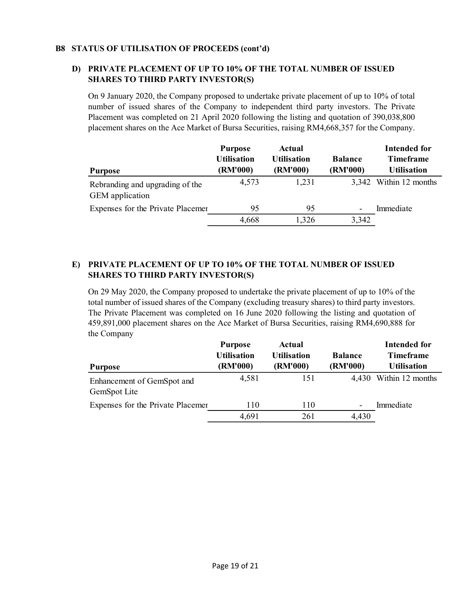#### B8 STATUS OF UTILISATION OF PROCEEDS (cont'd)

## D) PRIVATE PLACEMENT OF UP TO 10% OF THE TOTAL NUMBER OF ISSUED SHARES TO THIRD PARTY INVESTOR(S)

On 9 January 2020, the Company proposed to undertake private placement of up to 10% of total number of issued shares of the Company to independent third party investors. The Private Placement was completed on 21 April 2020 following the listing and quotation of 390,038,800 placement shares on the Ace Market of Bursa Securities, raising RM4,668,357 for the Company.

|                                                    | <b>Purpose</b><br><b>Utilisation</b> | Actual<br><b>Utilisation</b> | <b>Balance</b>           | Intended for<br><b>Timeframe</b> |
|----------------------------------------------------|--------------------------------------|------------------------------|--------------------------|----------------------------------|
| Purpose                                            | (RM'000)                             | (RM'000)                     | (RM'000)                 | <b>Utilisation</b>               |
| Rebranding and upgrading of the<br>GEM application | 4,573                                | 1,231                        |                          | 3,342 Within 12 months           |
| Expenses for the Private Placemer                  | 95                                   | 95                           | $\overline{\phantom{0}}$ | Immediate                        |
|                                                    | 4,668                                | 1,326                        | 3,342                    |                                  |

## E) PRIVATE PLACEMENT OF UP TO 10% OF THE TOTAL NUMBER OF ISSUED SHARES TO THIRD PARTY INVESTOR(S)

On 29 May 2020, the Company proposed to undertake the private placement of up to 10% of the total number of issued shares of the Company (excluding treasury shares) to third party investors. The Private Placement was completed on 16 June 2020 following the listing and quotation of 459,891,000 placement shares on the Ace Market of Bursa Securities, raising RM4,690,888 for the Company

|                                            | <b>Purpose</b><br><b>Utilisation</b> | Actual<br><b>Utilisation</b> | <b>Balance</b>           | <b>Intended for</b><br><b>Timeframe</b> |
|--------------------------------------------|--------------------------------------|------------------------------|--------------------------|-----------------------------------------|
| <b>Purpose</b>                             | (RM'000)                             | (RM'000)                     | (RM'000)                 | <b>Utilisation</b>                      |
| Enhancement of GemSpot and<br>GemSpot Lite | 4,581                                | 151                          |                          | 4,430 Within 12 months                  |
| Expenses for the Private Placemer          | 110                                  | 110                          | $\overline{\phantom{0}}$ | Immediate                               |
|                                            | 4,691                                | 261                          | 4,430                    |                                         |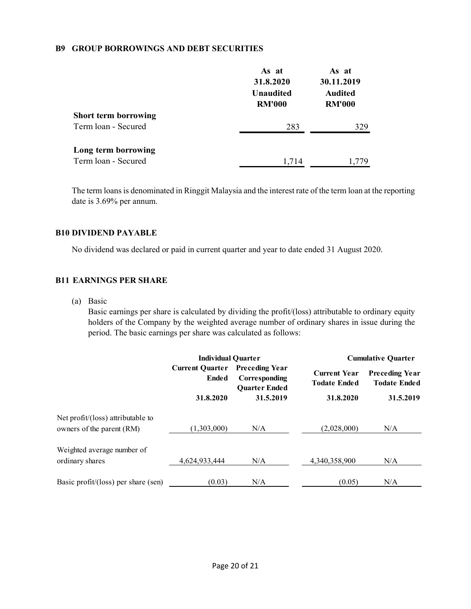#### B9 GROUP BORROWINGS AND DEBT SECURITIES

|                             | As at<br>31.8.2020<br><b>Unaudited</b><br><b>RM'000</b> | As at<br>30.11.2019<br><b>Audited</b><br><b>RM'000</b> |
|-----------------------------|---------------------------------------------------------|--------------------------------------------------------|
| <b>Short term borrowing</b> |                                                         |                                                        |
| Term loan - Secured         | 283                                                     | 329                                                    |
| Long term borrowing         |                                                         |                                                        |
| Term loan - Secured         | 1.714                                                   | 1.779                                                  |

The term loans is denominated in Ringgit Malaysia and the interest rate of the term loan at the reporting date is 3.69% per annum.

#### B10 DIVIDEND PAYABLE

No dividend was declared or paid in current quarter and year to date ended 31 August 2020.

#### B11 EARNINGS PER SHARE

(a) Basic

Basic earnings per share is calculated by dividing the profit/(loss) attributable to ordinary equity holders of the Company by the weighted average number of ordinary shares in issue during the period. The basic earnings per share was calculated as follows:

|                                     | <b>Individual Quarter</b>       |                                                                |                                            | <b>Cumulative Quarter</b>                                 |  |
|-------------------------------------|---------------------------------|----------------------------------------------------------------|--------------------------------------------|-----------------------------------------------------------|--|
|                                     | <b>Current Ouarter</b><br>Ended | <b>Preceding Year</b><br>Corresponding<br><b>Ouarter Ended</b> | <b>Current Year</b><br><b>Todate Ended</b> | <b>Preceding Year</b><br><b>Todate Ended</b><br>31.5.2019 |  |
|                                     | 31.8.2020                       | 31.5.2019                                                      | 31.8.2020                                  |                                                           |  |
| Net profit/(loss) attributable to   |                                 |                                                                |                                            |                                                           |  |
| owners of the parent (RM)           | (1,303,000)                     | N/A                                                            | (2,028,000)                                | N/A                                                       |  |
| Weighted average number of          |                                 |                                                                |                                            |                                                           |  |
| ordinary shares                     | 4,624,933,444                   | N/A                                                            | 4,340,358,900                              | N/A                                                       |  |
| Basic profit/(loss) per share (sen) | (0.03)                          | N/A                                                            | (0.05)                                     | N/A                                                       |  |